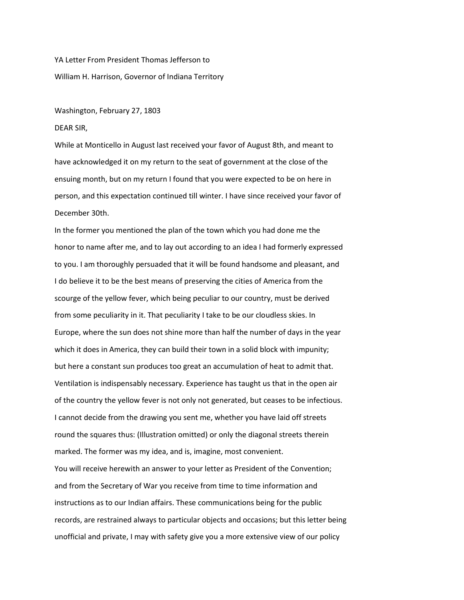YA Letter From President Thomas Jefferson to William H. Harrison, Governor of Indiana Territory

## Washington, February 27, 1803

DEAR SIR,

While at Monticello in August last received your favor of August 8th, and meant to have acknowledged it on my return to the seat of government at the close of the ensuing month, but on my return I found that you were expected to be on here in person, and this expectation continued till winter. I have since received your favor of December 30th.

In the former you mentioned the plan of the town which you had done me the honor to name after me, and to lay out according to an idea I had formerly expressed to you. I am thoroughly persuaded that it will be found handsome and pleasant, and I do believe it to be the best means of preserving the cities of America from the scourge of the yellow fever, which being peculiar to our country, must be derived from some peculiarity in it. That peculiarity I take to be our cloudless skies. In Europe, where the sun does not shine more than half the number of days in the year which it does in America, they can build their town in a solid block with impunity; but here a constant sun produces too great an accumulation of heat to admit that. Ventilation is indispensably necessary. Experience has taught us that in the open air of the country the yellow fever is not only not generated, but ceases to be infectious. I cannot decide from the drawing you sent me, whether you have laid off streets round the squares thus: (Illustration omitted) or only the diagonal streets therein marked. The former was my idea, and is, imagine, most convenient. You will receive herewith an answer to your letter as President of the Convention; and from the Secretary of War you receive from time to time information and instructions as to our Indian affairs. These communications being for the public records, are restrained always to particular objects and occasions; but this letter being unofficial and private, I may with safety give you a more extensive view of our policy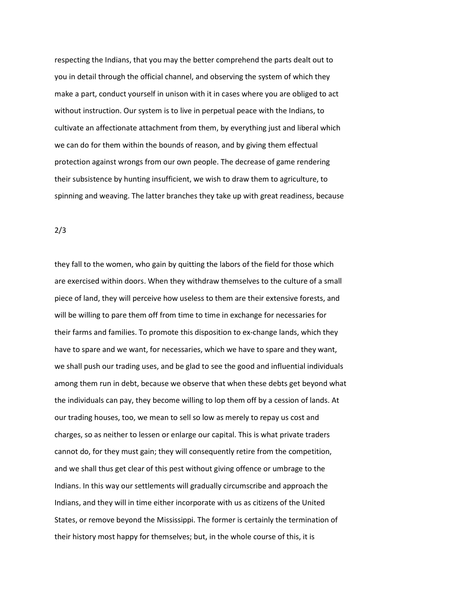respecting the Indians, that you may the better comprehend the parts dealt out to you in detail through the official channel, and observing the system of which they make a part, conduct yourself in unison with it in cases where you are obliged to act without instruction. Our system is to live in perpetual peace with the Indians, to cultivate an affectionate attachment from them, by everything just and liberal which we can do for them within the bounds of reason, and by giving them effectual protection against wrongs from our own people. The decrease of game rendering their subsistence by hunting insufficient, we wish to draw them to agriculture, to spinning and weaving. The latter branches they take up with great readiness, because

2/3

they fall to the women, who gain by quitting the labors of the field for those which are exercised within doors. When they withdraw themselves to the culture of a small piece of land, they will perceive how useless to them are their extensive forests, and will be willing to pare them off from time to time in exchange for necessaries for their farms and families. To promote this disposition to ex-change lands, which they have to spare and we want, for necessaries, which we have to spare and they want, we shall push our trading uses, and be glad to see the good and influential individuals among them run in debt, because we observe that when these debts get beyond what the individuals can pay, they become willing to lop them off by a cession of lands. At our trading houses, too, we mean to sell so low as merely to repay us cost and charges, so as neither to lessen or enlarge our capital. This is what private traders cannot do, for they must gain; they will consequently retire from the competition, and we shall thus get clear of this pest without giving offence or umbrage to the Indians. In this way our settlements will gradually circumscribe and approach the Indians, and they will in time either incorporate with us as citizens of the United States, or remove beyond the Mississippi. The former is certainly the termination of their history most happy for themselves; but, in the whole course of this, it is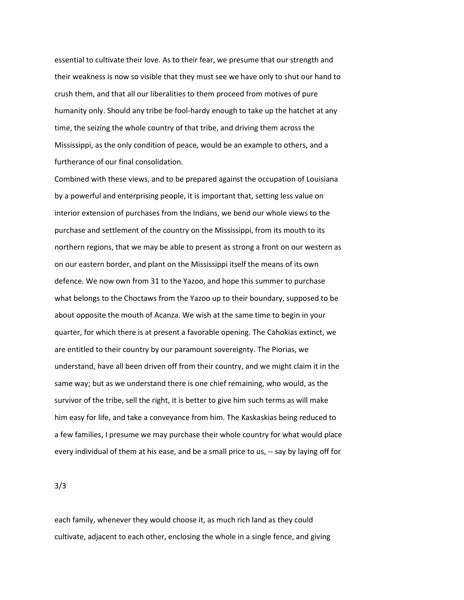essential to cultivate their love. As to their fear, we presume that our strength and their weakness is now so visible that they must see we have only to shut our hand to crush them, and that all our liberalities to them proceed from motives of pure humanity only. Should any tribe be fool-hardy enough to take up the hatchet at any time, the seizing the whole country of that tribe, and driving them across the Mississippi, as the only condition of peace, would be an example to others, and a furtherance of our final consolidation.

Combined with these views, and to be prepared against the occupation of Louisiana by a powerful and enterprising people, it is important that, setting less value on interior extension of purchases from the Indians, we bend our whole views to the purchase and settlement of the country on the Mississippi, from its mouth to its northern regions, that we may be able to present as strong a front on our western as on our eastern border, and plant on the Mississippi itself the means of its own defence. We now own from 31 to the Yazoo, and hope this summer to purchase what belongs to the Choctaws from the Yazoo up to their boundary, supposed to be about opposite the mouth of Acanza. We wish at the same time to begin in your quarter, for which there is at present a favorable opening. The Cahokias extinct, we are entitled to their country by our paramount sovereignty. The Piorias, we understand, have all been driven off from their country, and we might claim it in the same way; but as we understand there is one chief remaining, who would, as the survivor of the tribe, sell the right, it is better to give him such terms as will make him easy for life, and take a conveyance from him. The Kaskaskias being reduced to a few families, I presume we may purchase their whole country for what would place every individual of them at his ease, and be a small price to us, -- say by laying off for

3/3

each family, whenever they would choose it, as much rich land as they could cultivate, adjacent to each other, enclosing the whole in a single fence, and giving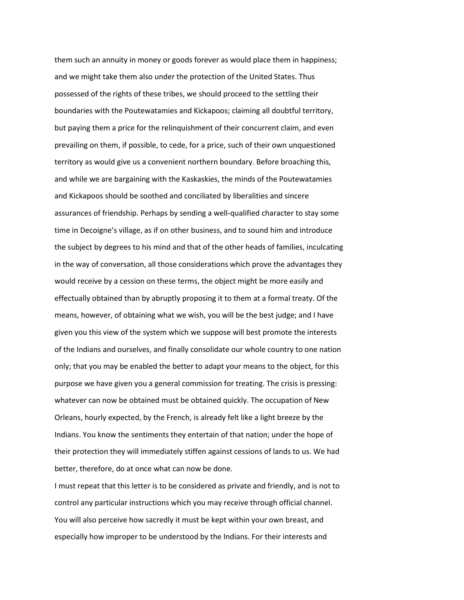them such an annuity in money or goods forever as would place them in happiness; and we might take them also under the protection of the United States. Thus possessed of the rights of these tribes, we should proceed to the settling their boundaries with the Poutewatamies and Kickapoos; claiming all doubtful territory, but paying them a price for the relinquishment of their concurrent claim, and even prevailing on them, if possible, to cede, for a price, such of their own unquestioned territory as would give us a convenient northern boundary. Before broaching this, and while we are bargaining with the Kaskaskies, the minds of the Poutewatamies and Kickapoos should be soothed and conciliated by liberalities and sincere assurances of friendship. Perhaps by sending a well-qualified character to stay some time in Decoigne's village, as if on other business, and to sound him and introduce the subject by degrees to his mind and that of the other heads of families, inculcating in the way of conversation, all those considerations which prove the advantages they would receive by a cession on these terms, the object might be more easily and effectually obtained than by abruptly proposing it to them at a formal treaty. Of the means, however, of obtaining what we wish, you will be the best judge; and I have given you this view of the system which we suppose will best promote the interests of the Indians and ourselves, and finally consolidate our whole country to one nation only; that you may be enabled the better to adapt your means to the object, for this purpose we have given you a general commission for treating. The crisis is pressing: whatever can now be obtained must be obtained quickly. The occupation of New Orleans, hourly expected, by the French, is already felt like a light breeze by the Indians. You know the sentiments they entertain of that nation; under the hope of their protection they will immediately stiffen against cessions of lands to us. We had better, therefore, do at once what can now be done.

I must repeat that this letter is to be considered as private and friendly, and is not to control any particular instructions which you may receive through official channel. You will also perceive how sacredly it must be kept within your own breast, and especially how improper to be understood by the Indians. For their interests and